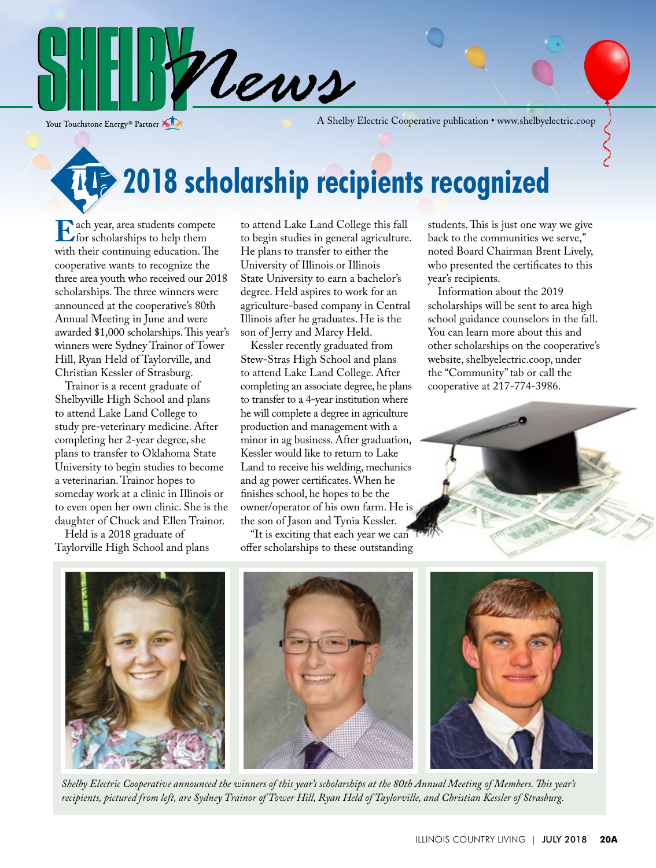

Your Touchstone Energy<sup>®</sup> Partner

A Shelby Electric Cooperative publication • www.shelbyelectric.coop

**2018 scholarship recipients recognized** 

**E** ach year, area students compete<br>with their continuing education. The with their continuing education. The cooperative wants to recognize the three area youth who received our 2018 scholarships. The three winners were announced at the cooperative's 80th Annual Meeting in June and were awarded \$1,000 scholarships. This year's winners were Sydney Trainor of Tower Hill, Ryan Held of Taylorville, and Christian Kessler of Strasburg.

 Trainor is a recent graduate of Shelbyville High School and plans to attend Lake Land College to study pre-veterinary medicine. After completing her 2-year degree, she plans to transfer to Oklahoma State University to begin studies to become a veterinarian. Trainor hopes to someday work at a clinic in Illinois or to even open her own clinic. She is the daughter of Chuck and Ellen Trainor.

 Held is a 2018 graduate of Taylorville High School and plans to attend Lake Land College this fall to begin studies in general agriculture. He plans to transfer to either the University of Illinois or Illinois State University to earn a bachelor's degree. Held aspires to work for an agriculture-based company in Central Illinois after he graduates. He is the son of Jerry and Marcy Held.

 Kessler recently graduated from Stew-Stras High School and plans to attend Lake Land College. After completing an associate degree, he plans to transfer to a 4-year institution where he will complete a degree in agriculture production and management with a minor in ag business. After graduation, Kessler would like to return to Lake Land to receive his welding, mechanics and ag power certificates. When he finishes school, he hopes to be the owner/operator of his own farm. He is the son of Jason and Tynia Kessler.

"It is exciting that each year we can offer scholarships to these outstanding

students. This is just one way we give back to the communities we serve," noted Board Chairman Brent Lively, who presented the certificates to this year's recipients.

 Information about the 2019 scholarships will be sent to area high school guidance counselors in the fall. You can learn more about this and other scholarships on the cooperative's website, shelbyelectric.coop, under the "Community" tab or call the cooperative at 217-774-3986.





*Shelby Electric Cooperative announced the winners of this year's scholarships at the 80th Annual Meeting of Members. This year's recipients, pictured from left, are Sydney Trainor of Tower Hill, Ryan Held of Taylorville, and Christian Kessler of Strasburg.*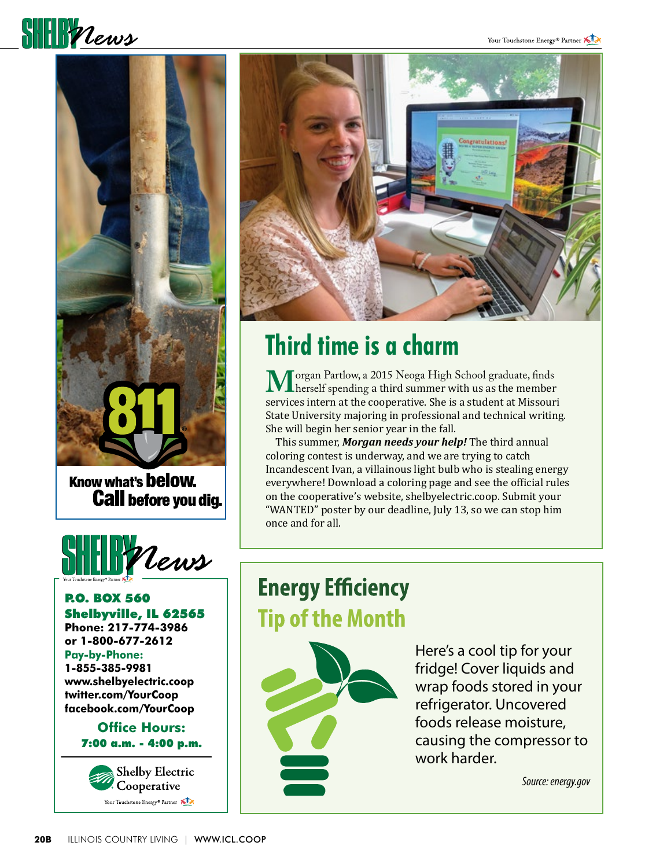



Know what's **below. Call before you dig.** 



P.O. BOX 560 Shelbyville, IL 62565 **Phone: 217-774-3986 or 1-800-677-2612 Pay-by-Phone: 1-855-385-9981 www.shelbyelectric.coop twitter.com/YourCoop facebook.com/YourCoop**

#### **Office Hours:** 7:00 a.m. - 4:00 p.m.





## **Third time is a charm**

**M**organ Partlow, a 2015 Neoga High School graduate, finds<br>herself spending a third summer with us as the member<br>services intern at the cooperative. She is a student at Missouri services intern at the cooperative. She is a student at Missouri State University majoring in professional and technical writing. She will begin her senior year in the fall.

 This summer, *Morgan needs your help!* The third annual coloring contest is underway, and we are trying to catch Incandescent Ivan, a villainous light bulb who is stealing energy everywhere! Download a coloring page and see the official rules on the cooperative's website, shelbyelectric.coop. Submit your "WANTED" poster by our deadline, July 13, so we can stop him once and for all.

## **Energy Efficiency Tip of the Month**



Here's a cool tip for your fridge! Cover liquids and wrap foods stored in your refrigerator. Uncovered foods release moisture, causing the compressor to work harder.

*Source: energy.gov*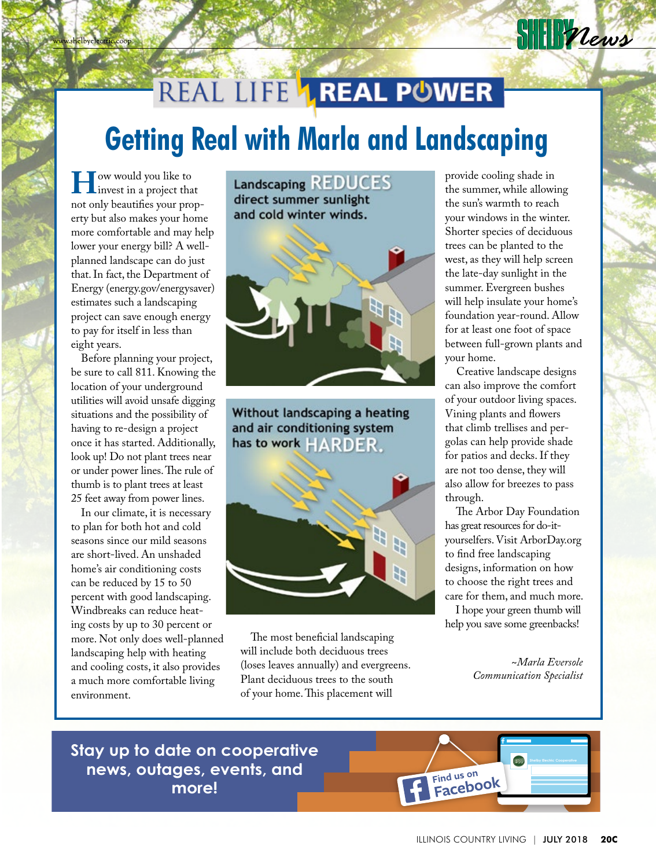# REAL LIFE **1 REAL POWER Getting Real with Marla and Landscaping**

**H**ow would you like to<br>
invest in a project that<br>
not only beautifies your prop not only beautifies your property but also makes your home more comfortable and may help lower your energy bill? A wellplanned landscape can do just that. In fact, the Department of Energy (energy.gov/energysaver) estimates such a landscaping project can save enough energy to pay for itself in less than eight years.

 Before planning your project, be sure to call 811. Knowing the location of your underground utilities will avoid unsafe digging situations and the possibility of having to re-design a project once it has started. Additionally, look up! Do not plant trees near or under power lines. The rule of thumb is to plant trees at least 25 feet away from power lines.

 In our climate, it is necessary to plan for both hot and cold seasons since our mild seasons are short-lived. An unshaded home's air conditioning costs can be reduced by 15 to 50 percent with good landscaping. Windbreaks can reduce heating costs by up to 30 percent or more. Not only does well-planned landscaping help with heating and cooling costs, it also provides a much more comfortable living environment.

Landscaping REDUCES direct summer sunlight and cold winter winds.



Without landscaping a heating and air conditioning system has to work  $HARDFR$ .



 The most beneficial landscaping will include both deciduous trees (loses leaves annually) and evergreens. Plant deciduous trees to the south of your home. This placement will

provide cooling shade in the summer, while allowing the sun's warmth to reach your windows in the winter. Shorter species of deciduous trees can be planted to the west, as they will help screen the late-day sunlight in the summer. Evergreen bushes will help insulate your home's foundation year-round. Allow for at least one foot of space between full-grown plants and your home.

**SHIPPLEWS** 

 Creative landscape designs can also improve the comfort of your outdoor living spaces. Vining plants and flowers that climb trellises and pergolas can help provide shade for patios and decks. If they are not too dense, they will also allow for breezes to pass through.

 The Arbor Day Foundation has great resources for do-ityourselfers. Visit ArborDay.org to find free landscaping designs, information on how to choose the right trees and care for them, and much more.

 I hope your green thumb will help you save some greenbacks!

> *~Marla Eversole Communication Specialist*

### **Stay up to date on cooperative news, outages, events, and more!**